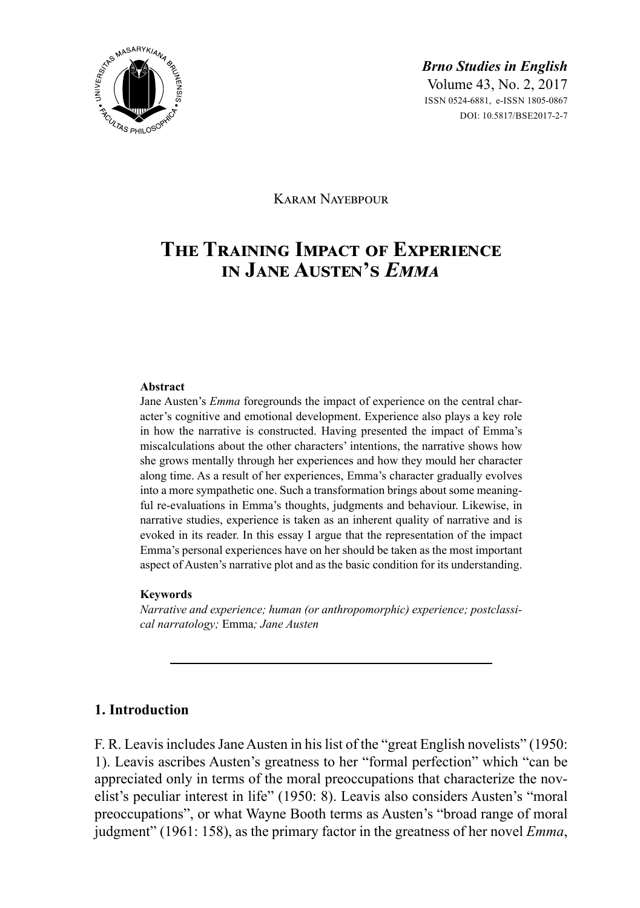

Karam Nayebpour

# **The Training Impact of Experience in Jane Austen's** *Emma*

#### **Abstract**

Jane Austen's *Emma* foregrounds the impact of experience on the central character's cognitive and emotional development. Experience also plays a key role in how the narrative is constructed. Having presented the impact of Emma's miscalculations about the other characters' intentions, the narrative shows how she grows mentally through her experiences and how they mould her character along time. As a result of her experiences, Emma's character gradually evolves into a more sympathetic one. Such a transformation brings about some meaningful re-evaluations in Emma's thoughts, judgments and behaviour. Likewise, in narrative studies, experience is taken as an inherent quality of narrative and is evoked in its reader. In this essay I argue that the representation of the impact Emma's personal experiences have on her should be taken as the most important aspect of Austen's narrative plot and as the basic condition for its understanding.

#### **Keywords**

*Narrative and experience; human (or anthropomorphic) experience; postclassical narratology;* Emma*; Jane Austen*

## **1. Introduction**

F. R. Leavis includes Jane Austen in his list of the "great English novelists" (1950: 1). Leavis ascribes Austen's greatness to her "formal perfection" which "can be appreciated only in terms of the moral preoccupations that characterize the novelist's peculiar interest in life" (1950: 8). Leavis also considers Austen's "moral preoccupations", or what Wayne Booth terms as Austen's "broad range of moral judgment" (1961: 158), as the primary factor in the greatness of her novel *Emma*,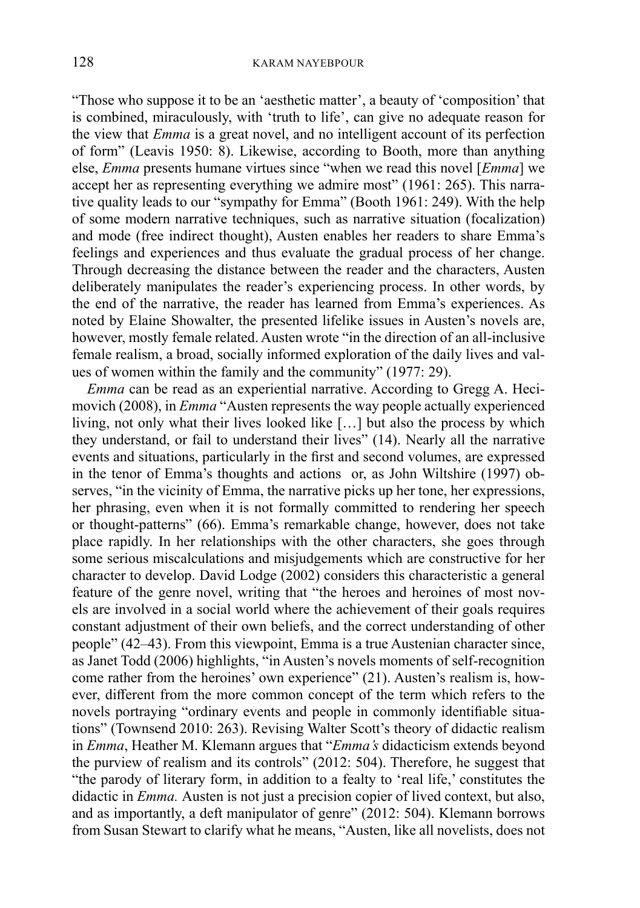"Those who suppose it to be an 'aesthetic matter', a beauty of 'composition' that is combined, miraculously, with 'truth to life', can give no adequate reason for the view that *Emma* is a great novel, and no intelligent account of its perfection of form" (Leavis 1950: 8). Likewise, according to Booth, more than anything else, *Emma* presents humane virtues since "when we read this novel [*Emma*] we accept her as representing everything we admire most" (1961: 265). This narrative quality leads to our "sympathy for Emma" (Booth 1961: 249). With the help of some modern narrative techniques, such as narrative situation (focalization) and mode (free indirect thought), Austen enables her readers to share Emma's feelings and experiences and thus evaluate the gradual process of her change. Through decreasing the distance between the reader and the characters, Austen deliberately manipulates the reader's experiencing process. In other words, by the end of the narrative, the reader has learned from Emma's experiences. As noted by Elaine Showalter, the presented lifelike issues in Austen's novels are, however, mostly female related. Austen wrote "in the direction of an all-inclusive female realism, a broad, socially informed exploration of the daily lives and values of women within the family and the community" (1977: 29).

*Emma* can be read as an experiential narrative. According to Gregg A. Hecimovich (2008), in *Emma* "Austen represents the way people actually experienced living, not only what their lives looked like […] but also the process by which they understand, or fail to understand their lives" (14). Nearly all the narrative events and situations, particularly in the first and second volumes, are expressed in the tenor of Emma's thoughts and actions or, as John Wiltshire (1997) observes, "in the vicinity of Emma, the narrative picks up her tone, her expressions, her phrasing, even when it is not formally committed to rendering her speech or thought-patterns" (66). Emma's remarkable change, however, does not take place rapidly. In her relationships with the other characters, she goes through some serious miscalculations and misjudgements which are constructive for her character to develop. David Lodge  $(2002)$  considers this characteristic a general feature of the genre novel, writing that "the heroes and heroines of most novels are involved in a social world where the achievement of their goals requires constant adjustment of their own beliefs, and the correct understanding of other people" (42–43). From this viewpoint, Emma is a true Austenian character since, as Janet Todd (2006) highlights, "in Austen's novels moments of self-recognition come rather from the heroines' own experience" (21). Austen's realism is, however, different from the more common concept of the term which refers to the novels portraying "ordinary events and people in commonly identifiable situations" (Townsend 2010: 263). Revising Walter Scott's theory of didactic realism in *Emma*, Heather M. Klemann argues that "*Emma's* didacticism extends beyond the purview of realism and its controls" (2012: 504). Therefore, he suggest that "the parody of literary form, in addition to a fealty to 'real life,' constitutes the didactic in *Emma.* Austen is not just a precision copier of lived context, but also, and as importantly, a deft manipulator of genre" (2012: 504). Klemann borrows from Susan Stewart to clarify what he means, "Austen, like all novelists, does not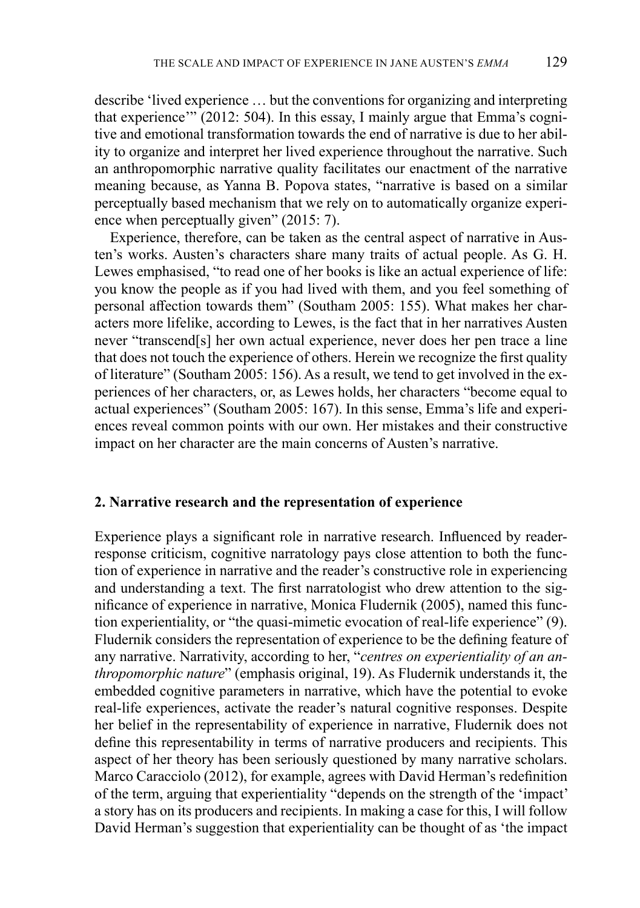describe 'lived experience … but the conventions for organizing and interpreting that experience'" (2012: 504). In this essay, I mainly argue that Emma's cognitive and emotional transformation towards the end of narrative is due to her ability to organize and interpret her lived experience throughout the narrative. Such an anthropomorphic narrative quality facilitates our enactment of the narrative meaning because, as Yanna B. Popova states, "narrative is based on a similar perceptually based mechanism that we rely on to automatically organize experience when perceptually given" (2015: 7).

Experience, therefore, can be taken as the central aspect of narrative in Austen's works. Austen's characters share many traits of actual people. As G. H. Lewes emphasised, "to read one of her books is like an actual experience of life: you know the people as if you had lived with them, and you feel something of personal affection towards them" (Southam 2005: 155). What makes her characters more lifelike, according to Lewes, is the fact that in her narratives Austen never "transcend[s] her own actual experience, never does her pen trace a line that does not touch the experience of others. Herein we recognize the first quality of literature" (Southam 2005: 156). As a result, we tend to get involved in the experiences of her characters, or, as Lewes holds, her characters "become equal to actual experiences" (Southam 2005: 167). In this sense, Emma's life and experiences reveal common points with our own. Her mistakes and their constructive impact on her character are the main concerns of Austen's narrative.

#### **2. Narrative research and the representation of experience**

Experience plays a significant role in narrative research. Influenced by readerresponse criticism, cognitive narratology pays close attention to both the function of experience in narrative and the reader's constructive role in experiencing and understanding a text. The first narratologist who drew attention to the significance of experience in narrative, Monica Fludernik (2005), named this function experientiality, or "the quasi-mimetic evocation of real-life experience" (9). Fludernik considers the representation of experience to be the defining feature of any narrative. Narrativity, according to her, "*centres on experientiality of an anthropomorphic nature*" (emphasis original, 19). As Fludernik understands it, the embedded cognitive parameters in narrative, which have the potential to evoke real-life experiences, activate the reader's natural cognitive responses. Despite her belief in the representability of experience in narrative, Fludernik does not define this representability in terms of narrative producers and recipients. This aspect of her theory has been seriously questioned by many narrative scholars. Marco Caracciolo (2012), for example, agrees with David Herman's redefinition of the term, arguing that experientiality "depends on the strength of the 'impact' a story has on its producers and recipients. In making a case for this, I will follow David Herman's suggestion that experientiality can be thought of as 'the impact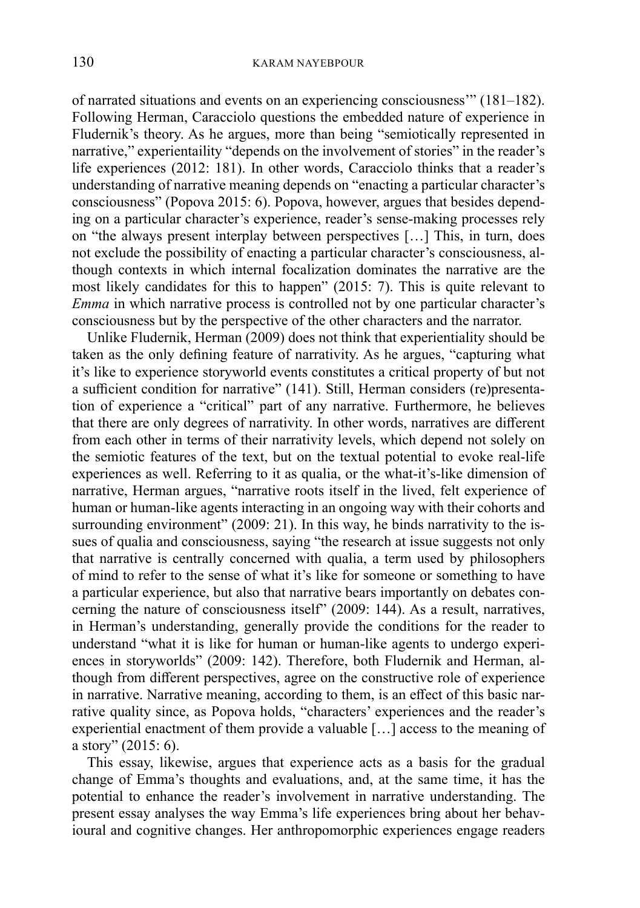of narrated situations and events on an experiencing consciousness'" (181–182). Following Herman, Caracciolo questions the embedded nature of experience in Fludernik's theory. As he argues, more than being "semiotically represented in narrative," experientaility "depends on the involvement of stories" in the reader's life experiences (2012: 181). In other words, Caracciolo thinks that a reader's understanding of narrative meaning depends on "enacting a particular character's consciousness" (Popova 2015: 6). Popova, however, argues that besides depending on a particular character's experience, reader's sense-making processes rely on "the always present interplay between perspectives […] This, in turn, does not exclude the possibility of enacting a particular character's consciousness, although contexts in which internal focalization dominates the narrative are the most likely candidates for this to happen" (2015: 7). This is quite relevant to *Emma* in which narrative process is controlled not by one particular character's consciousness but by the perspective of the other characters and the narrator.

Unlike Fludernik, Herman (2009) does not think that experientiality should be taken as the only defining feature of narrativity. As he argues, "capturing what it's like to experience storyworld events constitutes a critical property of but not a sufficient condition for narrative" (141). Still, Herman considers (re)presentation of experience a "critical" part of any narrative. Furthermore, he believes that there are only degrees of narrativity. In other words, narratives are different from each other in terms of their narrativity levels, which depend not solely on the semiotic features of the text, but on the textual potential to evoke real-life experiences as well. Referring to it as qualia, or the what-it's-like dimension of narrative, Herman argues, "narrative roots itself in the lived, felt experience of human or human-like agents interacting in an ongoing way with their cohorts and surrounding environment" (2009: 21). In this way, he binds narrativity to the issues of qualia and consciousness, saying "the research at issue suggests not only that narrative is centrally concerned with qualia, a term used by philosophers of mind to refer to the sense of what it's like for someone or something to have a particular experience, but also that narrative bears importantly on debates concerning the nature of consciousness itself" (2009: 144). As a result, narratives, in Herman's understanding, generally provide the conditions for the reader to understand "what it is like for human or human-like agents to undergo experiences in storyworlds" (2009: 142). Therefore, both Fludernik and Herman, although from different perspectives, agree on the constructive role of experience in narrative. Narrative meaning, according to them, is an effect of this basic narrative quality since, as Popova holds, "characters' experiences and the reader's experiential enactment of them provide a valuable […] access to the meaning of a story" (2015: 6).

This essay, likewise, argues that experience acts as a basis for the gradual change of Emma's thoughts and evaluations, and, at the same time, it has the potential to enhance the reader's involvement in narrative understanding. The present essay analyses the way Emma's life experiences bring about her behavioural and cognitive changes. Her anthropomorphic experiences engage readers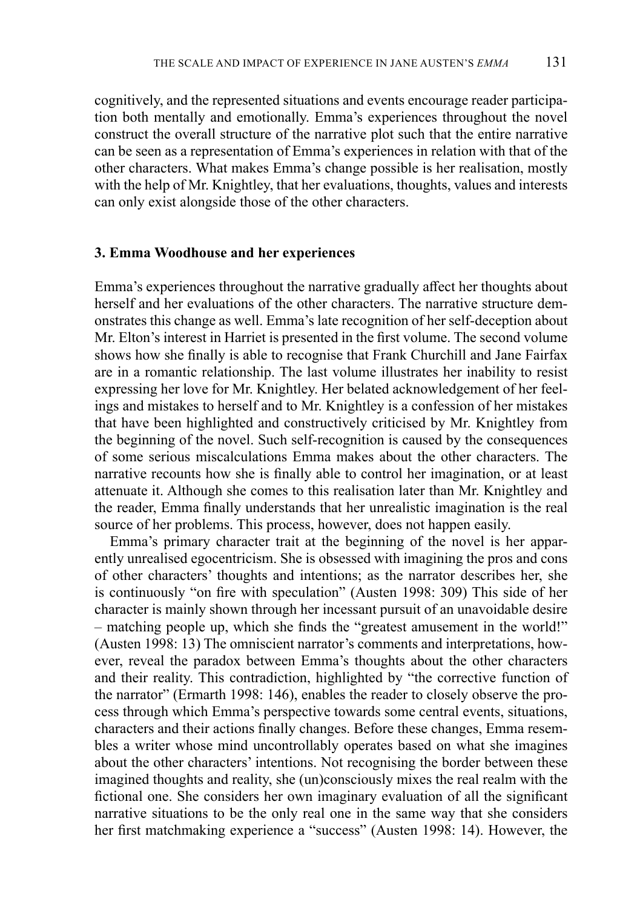cognitively, and the represented situations and events encourage reader participation both mentally and emotionally. Emma's experiences throughout the novel construct the overall structure of the narrative plot such that the entire narrative can be seen as a representation of Emma's experiences in relation with that of the other characters. What makes Emma's change possible is her realisation, mostly with the help of Mr. Knightley, that her evaluations, thoughts, values and interests can only exist alongside those of the other characters.

#### **3. Emma Woodhouse and her experiences**

Emma's experiences throughout the narrative gradually affect her thoughts about herself and her evaluations of the other characters. The narrative structure demonstrates this change as well. Emma's late recognition of her self-deception about Mr. Elton's interest in Harriet is presented in the first volume. The second volume shows how she finally is able to recognise that Frank Churchill and Jane Fairfax are in a romantic relationship. The last volume illustrates her inability to resist expressing her love for Mr. Knightley. Her belated acknowledgement of her feelings and mistakes to herself and to Mr. Knightley is a confession of her mistakes that have been highlighted and constructively criticised by Mr. Knightley from the beginning of the novel. Such self-recognition is caused by the consequences of some serious miscalculations Emma makes about the other characters. The narrative recounts how she is finally able to control her imagination, or at least attenuate it. Although she comes to this realisation later than Mr. Knightley and the reader, Emma finally understands that her unrealistic imagination is the real source of her problems. This process, however, does not happen easily.

Emma's primary character trait at the beginning of the novel is her apparently unrealised egocentricism. She is obsessed with imagining the pros and cons of other characters' thoughts and intentions; as the narrator describes her, she is continuously "on fire with speculation" (Austen 1998: 309) This side of her character is mainly shown through her incessant pursuit of an unavoidable desire – matching people up, which she finds the "greatest amusement in the world!" (Austen 1998: 13) The omniscient narrator's comments and interpretations, however, reveal the paradox between Emma's thoughts about the other characters and their reality. This contradiction, highlighted by "the corrective function of the narrator" (Ermarth 1998: 146), enables the reader to closely observe the process through which Emma's perspective towards some central events, situations, characters and their actions finally changes. Before these changes, Emma resembles a writer whose mind uncontrollably operates based on what she imagines about the other characters' intentions. Not recognising the border between these imagined thoughts and reality, she (un)consciously mixes the real realm with the fictional one. She considers her own imaginary evaluation of all the significant narrative situations to be the only real one in the same way that she considers her first matchmaking experience a "success" (Austen 1998: 14). However, the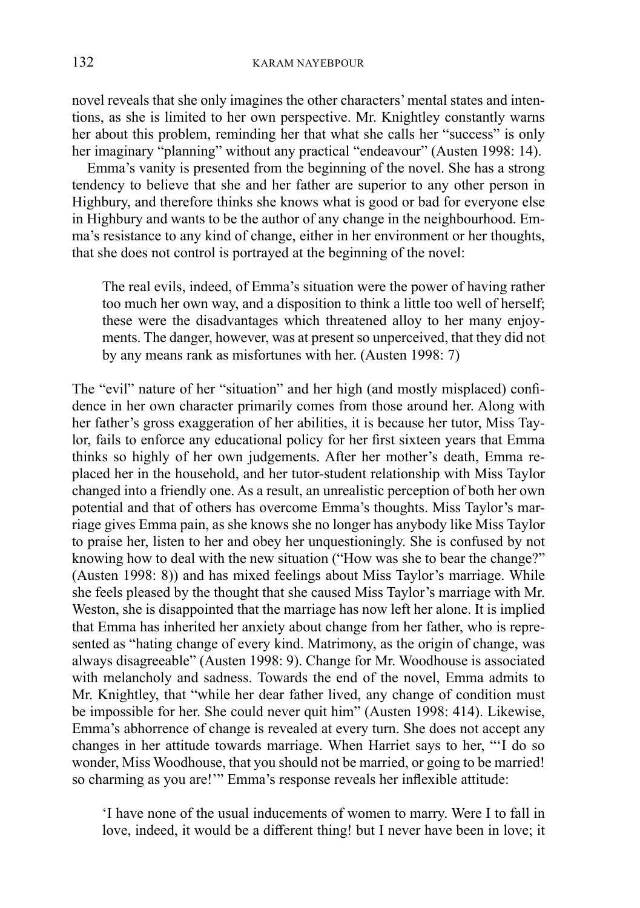novel reveals that she only imagines the other characters' mental states and intentions, as she is limited to her own perspective. Mr. Knightley constantly warns her about this problem, reminding her that what she calls her "success" is only her imaginary "planning" without any practical "endeavour" (Austen 1998: 14).

Emma's vanity is presented from the beginning of the novel. She has a strong tendency to believe that she and her father are superior to any other person in Highbury, and therefore thinks she knows what is good or bad for everyone else in Highbury and wants to be the author of any change in the neighbourhood. Emma's resistance to any kind of change, either in her environment or her thoughts, that she does not control is portrayed at the beginning of the novel:

The real evils, indeed, of Emma's situation were the power of having rather too much her own way, and a disposition to think a little too well of herself; these were the disadvantages which threatened alloy to her many enjoyments. The danger, however, was at present so unperceived, that they did not by any means rank as misfortunes with her. (Austen 1998: 7)

The "evil" nature of her "situation" and her high (and mostly misplaced) confidence in her own character primarily comes from those around her. Along with her father's gross exaggeration of her abilities, it is because her tutor, Miss Taylor, fails to enforce any educational policy for her first sixteen years that Emma thinks so highly of her own judgements. After her mother's death, Emma replaced her in the household, and her tutor-student relationship with Miss Taylor changed into a friendly one. As a result, an unrealistic perception of both her own potential and that of others has overcome Emma's thoughts. Miss Taylor's marriage gives Emma pain, as she knows she no longer has anybody like Miss Taylor to praise her, listen to her and obey her unquestioningly. She is confused by not knowing how to deal with the new situation ("How was she to bear the change?" (Austen 1998: 8)) and has mixed feelings about Miss Taylor's marriage. While she feels pleased by the thought that she caused Miss Taylor's marriage with Mr. Weston, she is disappointed that the marriage has now left her alone. It is implied that Emma has inherited her anxiety about change from her father, who is represented as "hating change of every kind. Matrimony, as the origin of change, was always disagreeable" (Austen 1998: 9). Change for Mr. Woodhouse is associated with melancholy and sadness. Towards the end of the novel, Emma admits to Mr. Knightley, that "while her dear father lived, any change of condition must be impossible for her. She could never quit him" (Austen 1998: 414). Likewise, Emma's abhorrence of change is revealed at every turn. She does not accept any changes in her attitude towards marriage. When Harriet says to her, "'I do so wonder, Miss Woodhouse, that you should not be married, or going to be married! so charming as you are!'" Emma's response reveals her inflexible attitude:

'I have none of the usual inducements of women to marry. Were I to fall in love, indeed, it would be a different thing! but I never have been in love; it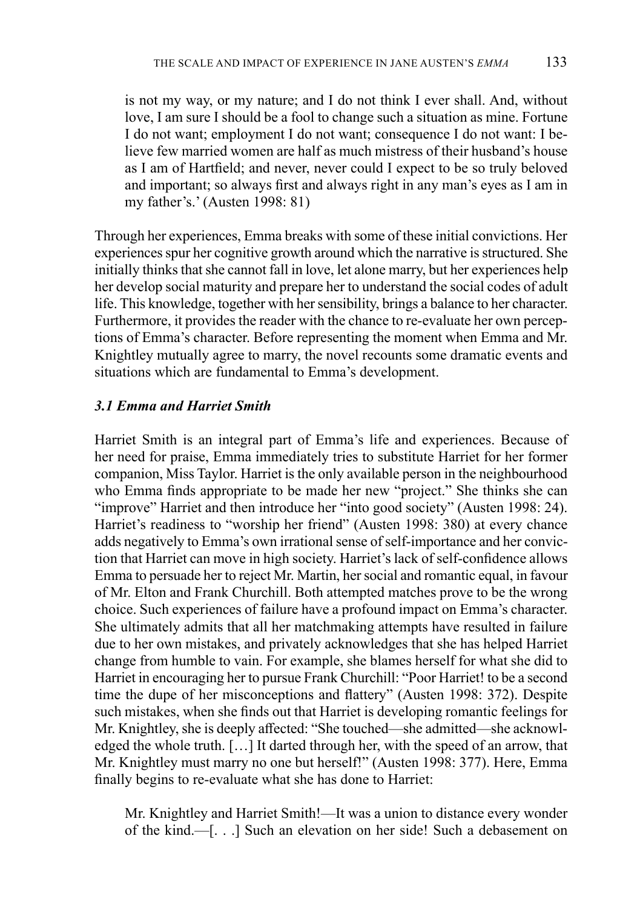is not my way, or my nature; and I do not think I ever shall. And, without love, I am sure I should be a fool to change such a situation as mine. Fortune I do not want; employment I do not want; consequence I do not want: I believe few married women are half as much mistress of their husband's house as I am of Hartfield; and never, never could I expect to be so truly beloved and important; so always first and always right in any man's eyes as I am in my father's.' (Austen 1998: 81)

Through her experiences, Emma breaks with some of these initial convictions. Her experiences spur her cognitive growth around which the narrative is structured. She initially thinks that she cannot fall in love, let alone marry, but her experiences help her develop social maturity and prepare her to understand the social codes of adult life. This knowledge, together with her sensibility, brings a balance to her character. Furthermore, it provides the reader with the chance to re-evaluate her own perceptions of Emma's character. Before representing the moment when Emma and Mr. Knightley mutually agree to marry, the novel recounts some dramatic events and situations which are fundamental to Emma's development.

## *3.1 Emma and Harriet Smith*

Harriet Smith is an integral part of Emma's life and experiences. Because of her need for praise, Emma immediately tries to substitute Harriet for her former companion, Miss Taylor. Harriet is the only available person in the neighbourhood who Emma finds appropriate to be made her new "project." She thinks she can "improve" Harriet and then introduce her "into good society" (Austen 1998: 24). Harriet's readiness to "worship her friend" (Austen 1998: 380) at every chance adds negatively to Emma's own irrational sense of self-importance and her conviction that Harriet can move in high society. Harriet's lack of self-confidence allows Emma to persuade her to reject Mr. Martin, her social and romantic equal, in favour of Mr. Elton and Frank Churchill. Both attempted matches prove to be the wrong choice. Such experiences of failure have a profound impact on Emma's character. She ultimately admits that all her matchmaking attempts have resulted in failure due to her own mistakes, and privately acknowledges that she has helped Harriet change from humble to vain. For example, she blames herself for what she did to Harriet in encouraging her to pursue Frank Churchill: "Poor Harriet! to be a second time the dupe of her misconceptions and flattery" (Austen 1998: 372). Despite such mistakes, when she finds out that Harriet is developing romantic feelings for Mr. Knightley, she is deeply affected: "She touched—she admitted—she acknowledged the whole truth. […] It darted through her, with the speed of an arrow, that Mr. Knightley must marry no one but herself!" (Austen 1998: 377). Here, Emma finally begins to re-evaluate what she has done to Harriet:

Mr. Knightley and Harriet Smith!—It was a union to distance every wonder of the kind.—[. . .] Such an elevation on her side! Such a debasement on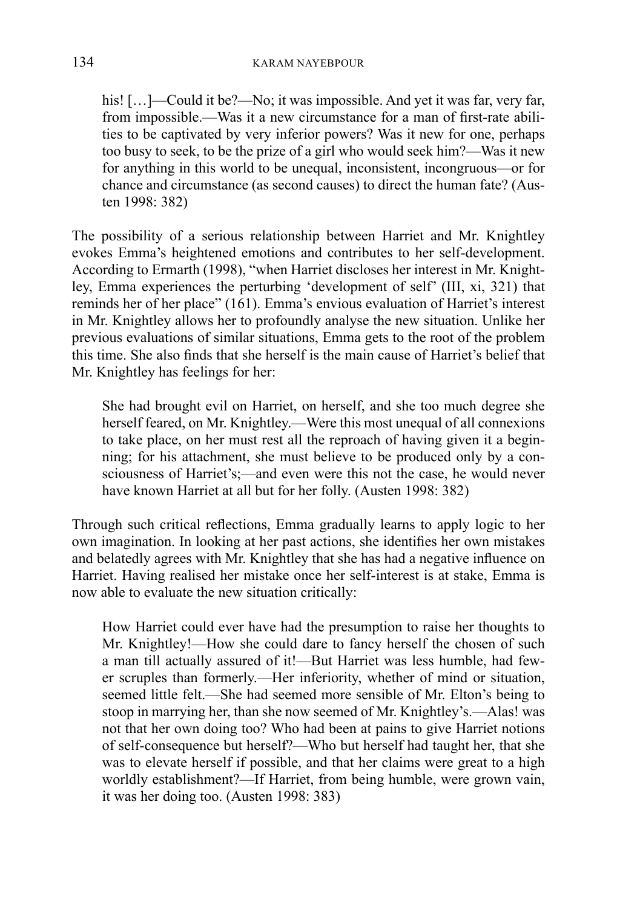his! [...]—Could it be?—No; it was impossible. And yet it was far, very far, from impossible.—Was it a new circumstance for a man of first-rate abilities to be captivated by very inferior powers? Was it new for one, perhaps too busy to seek, to be the prize of a girl who would seek him?—Was it new for anything in this world to be unequal, inconsistent, incongruous—or for chance and circumstance (as second causes) to direct the human fate? (Austen 1998: 382)

The possibility of a serious relationship between Harriet and Mr. Knightley evokes Emma's heightened emotions and contributes to her self-development. According to Ermarth (1998), "when Harriet discloses her interest in Mr. Knightley, Emma experiences the perturbing 'development of self' (III, xi, 321) that reminds her of her place" (161). Emma's envious evaluation of Harriet's interest in Mr. Knightley allows her to profoundly analyse the new situation. Unlike her previous evaluations of similar situations, Emma gets to the root of the problem this time. She also finds that she herself is the main cause of Harriet's belief that Mr. Knightley has feelings for her:

She had brought evil on Harriet, on herself, and she too much degree she herself feared, on Mr. Knightley.—Were this most unequal of all connexions to take place, on her must rest all the reproach of having given it a beginning; for his attachment, she must believe to be produced only by a consciousness of Harriet's;—and even were this not the case, he would never have known Harriet at all but for her folly. (Austen 1998: 382)

Through such critical reflections, Emma gradually learns to apply logic to her own imagination. In looking at her past actions, she identifies her own mistakes and belatedly agrees with Mr. Knightley that she has had a negative influence on Harriet. Having realised her mistake once her self-interest is at stake, Emma is now able to evaluate the new situation critically:

How Harriet could ever have had the presumption to raise her thoughts to Mr. Knightley!—How she could dare to fancy herself the chosen of such a man till actually assured of it!—But Harriet was less humble, had fewer scruples than formerly.—Her inferiority, whether of mind or situation, seemed little felt.—She had seemed more sensible of Mr. Elton's being to stoop in marrying her, than she now seemed of Mr. Knightley's.—Alas! was not that her own doing too? Who had been at pains to give Harriet notions of self-consequence but herself?—Who but herself had taught her, that she was to elevate herself if possible, and that her claims were great to a high worldly establishment?—If Harriet, from being humble, were grown vain, it was her doing too. (Austen 1998: 383)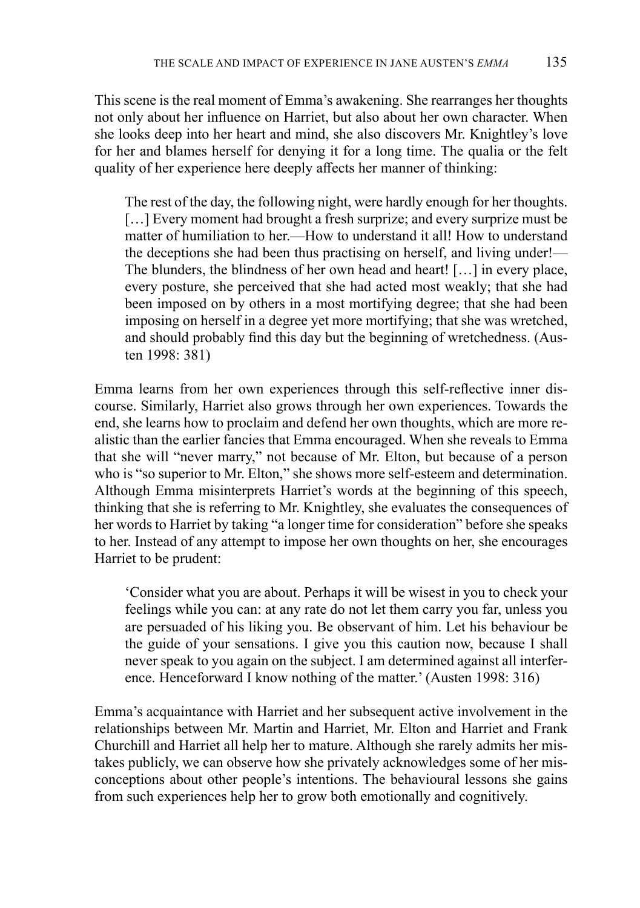This scene is the real moment of Emma's awakening. She rearranges her thoughts not only about her influence on Harriet, but also about her own character. When she looks deep into her heart and mind, she also discovers Mr. Knightley's love for her and blames herself for denying it for a long time. The qualia or the felt quality of her experience here deeply affects her manner of thinking:

The rest of the day, the following night, were hardly enough for her thoughts. [...] Every moment had brought a fresh surprize; and every surprize must be matter of humiliation to her.—How to understand it all! How to understand the deceptions she had been thus practising on herself, and living under!— The blunders, the blindness of her own head and heart! […] in every place, every posture, she perceived that she had acted most weakly; that she had been imposed on by others in a most mortifying degree; that she had been imposing on herself in a degree yet more mortifying; that she was wretched, and should probably find this day but the beginning of wretchedness. (Austen 1998: 381)

Emma learns from her own experiences through this self-reflective inner discourse. Similarly, Harriet also grows through her own experiences. Towards the end, she learns how to proclaim and defend her own thoughts, which are more realistic than the earlier fancies that Emma encouraged. When she reveals to Emma that she will "never marry," not because of Mr. Elton, but because of a person who is "so superior to Mr. Elton," she shows more self-esteem and determination. Although Emma misinterprets Harriet's words at the beginning of this speech, thinking that she is referring to Mr. Knightley, she evaluates the consequences of her words to Harriet by taking "a longer time for consideration" before she speaks to her. Instead of any attempt to impose her own thoughts on her, she encourages Harriet to be prudent:

'Consider what you are about. Perhaps it will be wisest in you to check your feelings while you can: at any rate do not let them carry you far, unless you are persuaded of his liking you. Be observant of him. Let his behaviour be the guide of your sensations. I give you this caution now, because I shall never speak to you again on the subject. I am determined against all interference. Henceforward I know nothing of the matter.' (Austen 1998: 316)

Emma's acquaintance with Harriet and her subsequent active involvement in the relationships between Mr. Martin and Harriet, Mr. Elton and Harriet and Frank Churchill and Harriet all help her to mature. Although she rarely admits her mistakes publicly, we can observe how she privately acknowledges some of her misconceptions about other people's intentions. The behavioural lessons she gains from such experiences help her to grow both emotionally and cognitively.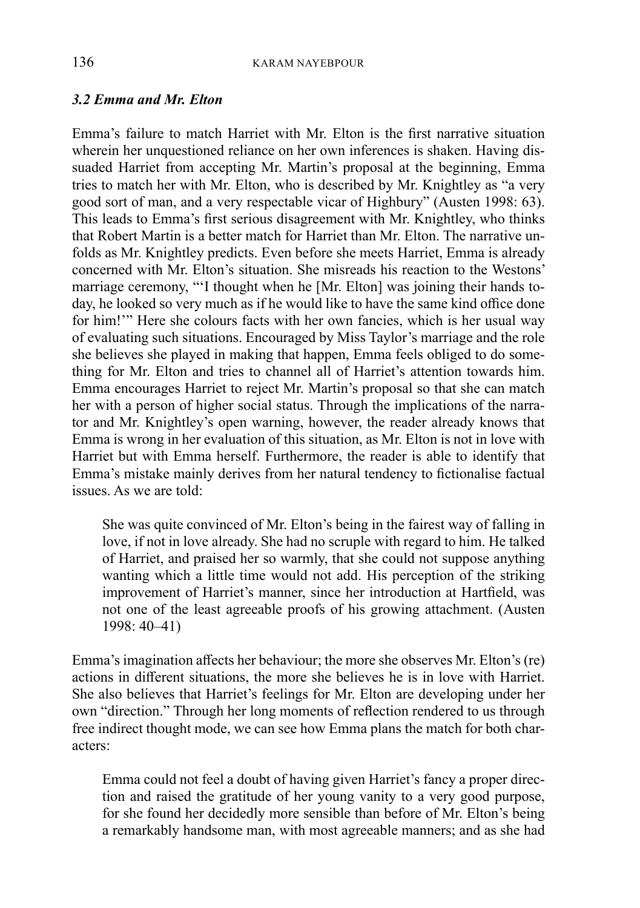## *3.2 Emma and Mr. Elton*

Emma's failure to match Harriet with Mr. Elton is the first narrative situation wherein her unquestioned reliance on her own inferences is shaken. Having dissuaded Harriet from accepting Mr. Martin's proposal at the beginning, Emma tries to match her with Mr. Elton, who is described by Mr. Knightley as "a very good sort of man, and a very respectable vicar of Highbury" (Austen 1998: 63). This leads to Emma's first serious disagreement with Mr. Knightley, who thinks that Robert Martin is a better match for Harriet than Mr. Elton. The narrative unfolds as Mr. Knightley predicts. Even before she meets Harriet, Emma is already concerned with Mr. Elton's situation. She misreads his reaction to the Westons' marriage ceremony, "'I thought when he [Mr. Elton] was joining their hands today, he looked so very much as if he would like to have the same kind office done for him!'" Here she colours facts with her own fancies, which is her usual way of evaluating such situations. Encouraged by Miss Taylor's marriage and the role she believes she played in making that happen, Emma feels obliged to do something for Mr. Elton and tries to channel all of Harriet's attention towards him. Emma encourages Harriet to reject Mr. Martin's proposal so that she can match her with a person of higher social status. Through the implications of the narrator and Mr. Knightley's open warning, however, the reader already knows that Emma is wrong in her evaluation of this situation, as Mr. Elton is not in love with Harriet but with Emma herself. Furthermore, the reader is able to identify that Emma's mistake mainly derives from her natural tendency to fictionalise factual issues. As we are told:

She was quite convinced of Mr. Elton's being in the fairest way of falling in love, if not in love already. She had no scruple with regard to him. He talked of Harriet, and praised her so warmly, that she could not suppose anything wanting which a little time would not add. His perception of the striking improvement of Harriet's manner, since her introduction at Hartfield, was not one of the least agreeable proofs of his growing attachment. (Austen 1998: 40–41)

Emma's imagination affects her behaviour; the more she observes Mr. Elton's (re) actions in different situations, the more she believes he is in love with Harriet. She also believes that Harriet's feelings for Mr. Elton are developing under her own "direction." Through her long moments of reflection rendered to us through free indirect thought mode, we can see how Emma plans the match for both characters:

Emma could not feel a doubt of having given Harriet's fancy a proper direction and raised the gratitude of her young vanity to a very good purpose, for she found her decidedly more sensible than before of Mr. Elton's being a remarkably handsome man, with most agreeable manners; and as she had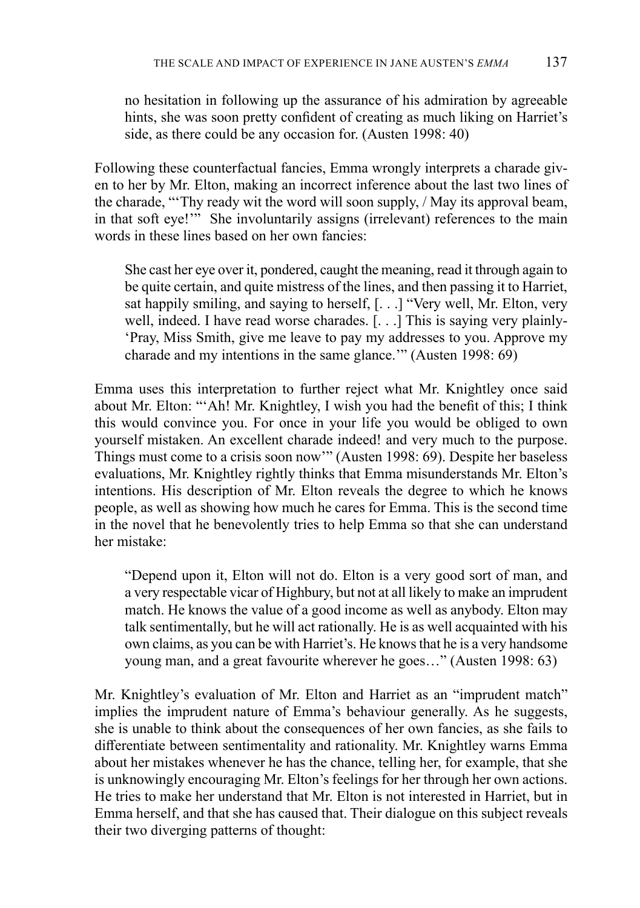no hesitation in following up the assurance of his admiration by agreeable hints, she was soon pretty confident of creating as much liking on Harriet's side, as there could be any occasion for. (Austen 1998: 40)

Following these counterfactual fancies, Emma wrongly interprets a charade given to her by Mr. Elton, making an incorrect inference about the last two lines of the charade, "'Thy ready wit the word will soon supply, / May its approval beam, in that soft eye!'" She involuntarily assigns (irrelevant) references to the main words in these lines based on her own fancies:

She cast her eye over it, pondered, caught the meaning, read it through again to be quite certain, and quite mistress of the lines, and then passing it to Harriet, sat happily smiling, and saying to herself, [. . .] "Very well, Mr. Elton, very well, indeed. I have read worse charades. [. . .] This is saying very plainly- 'Pray, Miss Smith, give me leave to pay my addresses to you. Approve my charade and my intentions in the same glance.'" (Austen 1998: 69)

Emma uses this interpretation to further reject what Mr. Knightley once said about Mr. Elton: "'Ah! Mr. Knightley, I wish you had the benefit of this; I think this would convince you. For once in your life you would be obliged to own yourself mistaken. An excellent charade indeed! and very much to the purpose. Things must come to a crisis soon now'" (Austen 1998: 69). Despite her baseless evaluations, Mr. Knightley rightly thinks that Emma misunderstands Mr. Elton's intentions. His description of Mr. Elton reveals the degree to which he knows people, as well as showing how much he cares for Emma. This is the second time in the novel that he benevolently tries to help Emma so that she can understand her mistake:

"Depend upon it, Elton will not do. Elton is a very good sort of man, and a very respectable vicar of Highbury, but not at all likely to make an imprudent match. He knows the value of a good income as well as anybody. Elton may talk sentimentally, but he will act rationally. He is as well acquainted with his own claims, as you can be with Harriet's. He knows that he is a very handsome young man, and a great favourite wherever he goes…" (Austen 1998: 63)

Mr. Knightley's evaluation of Mr. Elton and Harriet as an "imprudent match" implies the imprudent nature of Emma's behaviour generally. As he suggests, she is unable to think about the consequences of her own fancies, as she fails to differentiate between sentimentality and rationality. Mr. Knightley warns Emma about her mistakes whenever he has the chance, telling her, for example, that she is unknowingly encouraging Mr. Elton's feelings for her through her own actions. He tries to make her understand that Mr. Elton is not interested in Harriet, but in Emma herself, and that she has caused that. Their dialogue on this subject reveals their two diverging patterns of thought: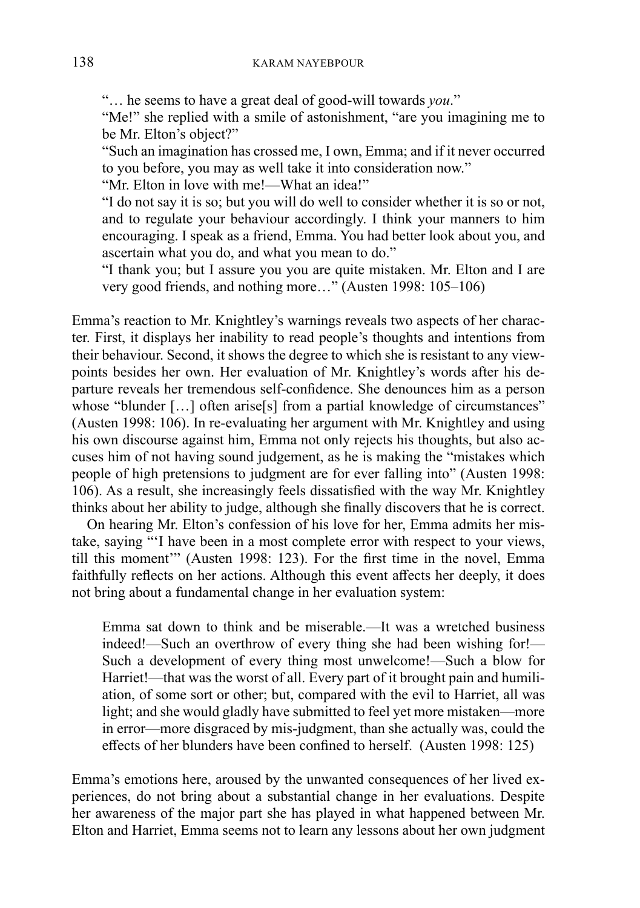"… he seems to have a great deal of good-will towards *you*."

"Me!" she replied with a smile of astonishment, "are you imagining me to be Mr. Elton's object?"

"Such an imagination has crossed me, I own, Emma; and if it never occurred to you before, you may as well take it into consideration now."

"Mr. Elton in love with me!—What an idea!"

"I do not say it is so; but you will do well to consider whether it is so or not, and to regulate your behaviour accordingly. I think your manners to him encouraging. I speak as a friend, Emma. You had better look about you, and ascertain what you do, and what you mean to do."

"I thank you; but I assure you you are quite mistaken. Mr. Elton and I are very good friends, and nothing more…" (Austen 1998: 105–106)

Emma's reaction to Mr. Knightley's warnings reveals two aspects of her character. First, it displays her inability to read people's thoughts and intentions from their behaviour. Second, it shows the degree to which she is resistant to any viewpoints besides her own. Her evaluation of Mr. Knightley's words after his departure reveals her tremendous self-confidence. She denounces him as a person whose "blunder [...] often arise[s] from a partial knowledge of circumstances" (Austen 1998: 106). In re-evaluating her argument with Mr. Knightley and using his own discourse against him, Emma not only rejects his thoughts, but also accuses him of not having sound judgement, as he is making the "mistakes which people of high pretensions to judgment are for ever falling into" (Austen 1998: 106). As a result, she increasingly feels dissatisfied with the way Mr. Knightley thinks about her ability to judge, although she finally discovers that he is correct.

On hearing Mr. Elton's confession of his love for her, Emma admits her mistake, saying "'I have been in a most complete error with respect to your views, till this moment'" (Austen 1998: 123). For the first time in the novel, Emma faithfully reflects on her actions. Although this event affects her deeply, it does not bring about a fundamental change in her evaluation system:

Emma sat down to think and be miserable.—It was a wretched business indeed!—Such an overthrow of every thing she had been wishing for!— Such a development of every thing most unwelcome!—Such a blow for Harriet!—that was the worst of all. Every part of it brought pain and humiliation, of some sort or other; but, compared with the evil to Harriet, all was light; and she would gladly have submitted to feel yet more mistaken—more in error—more disgraced by mis-judgment, than she actually was, could the effects of her blunders have been confined to herself. (Austen 1998: 125)

Emma's emotions here, aroused by the unwanted consequences of her lived experiences, do not bring about a substantial change in her evaluations. Despite her awareness of the major part she has played in what happened between Mr. Elton and Harriet, Emma seems not to learn any lessons about her own judgment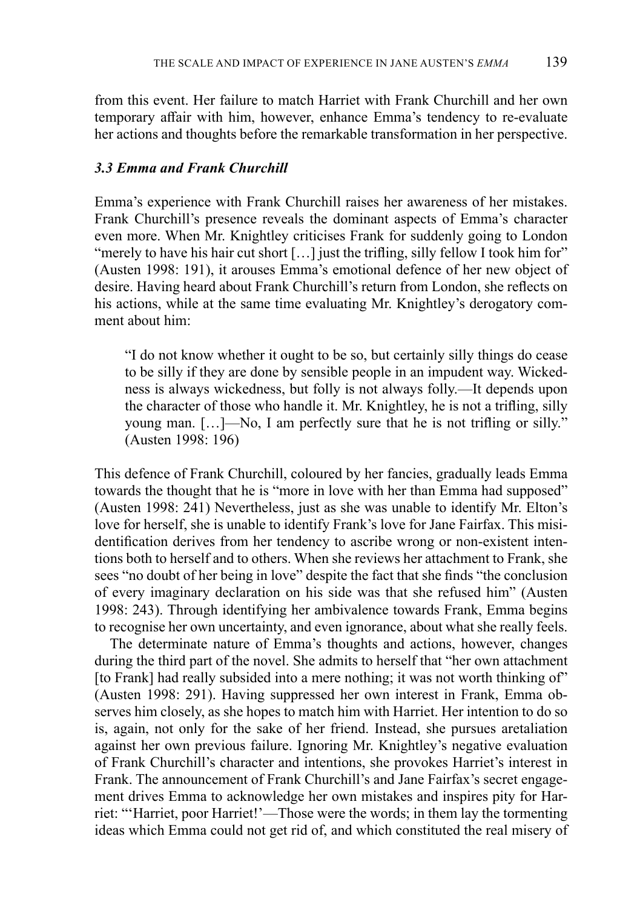from this event. Her failure to match Harriet with Frank Churchill and her own temporary affair with him, however, enhance Emma's tendency to re-evaluate her actions and thoughts before the remarkable transformation in her perspective.

#### *3.3 Emma and Frank Churchill*

Emma's experience with Frank Churchill raises her awareness of her mistakes. Frank Churchill's presence reveals the dominant aspects of Emma's character even more. When Mr. Knightley criticises Frank for suddenly going to London "merely to have his hair cut short [...] just the trifling, silly fellow I took him for" (Austen 1998: 191), it arouses Emma's emotional defence of her new object of desire. Having heard about Frank Churchill's return from London, she reflects on his actions, while at the same time evaluating Mr. Knightley's derogatory comment about him:

"I do not know whether it ought to be so, but certainly silly things do cease to be silly if they are done by sensible people in an impudent way. Wickedness is always wickedness, but folly is not always folly.—It depends upon the character of those who handle it. Mr. Knightley, he is not a trifling, silly young man. […]—No, I am perfectly sure that he is not trifling or silly." (Austen 1998: 196)

This defence of Frank Churchill, coloured by her fancies, gradually leads Emma towards the thought that he is "more in love with her than Emma had supposed" (Austen 1998: 241) Nevertheless, just as she was unable to identify Mr. Elton's love for herself, she is unable to identify Frank's love for Jane Fairfax. This misidentification derives from her tendency to ascribe wrong or non-existent intentions both to herself and to others. When she reviews her attachment to Frank, she sees "no doubt of her being in love" despite the fact that she finds "the conclusion of every imaginary declaration on his side was that she refused him" (Austen 1998: 243). Through identifying her ambivalence towards Frank, Emma begins to recognise her own uncertainty, and even ignorance, about what she really feels.

The determinate nature of Emma's thoughts and actions, however, changes during the third part of the novel. She admits to herself that "her own attachment [to Frank] had really subsided into a mere nothing; it was not worth thinking of" (Austen 1998: 291). Having suppressed her own interest in Frank, Emma observes him closely, as she hopes to match him with Harriet. Her intention to do so is, again, not only for the sake of her friend. Instead, she pursues aretaliation against her own previous failure. Ignoring Mr. Knightley's negative evaluation of Frank Churchill's character and intentions, she provokes Harriet's interest in Frank. The announcement of Frank Churchill's and Jane Fairfax's secret engagement drives Emma to acknowledge her own mistakes and inspires pity for Harriet: "'Harriet, poor Harriet!'—Those were the words; in them lay the tormenting ideas which Emma could not get rid of, and which constituted the real misery of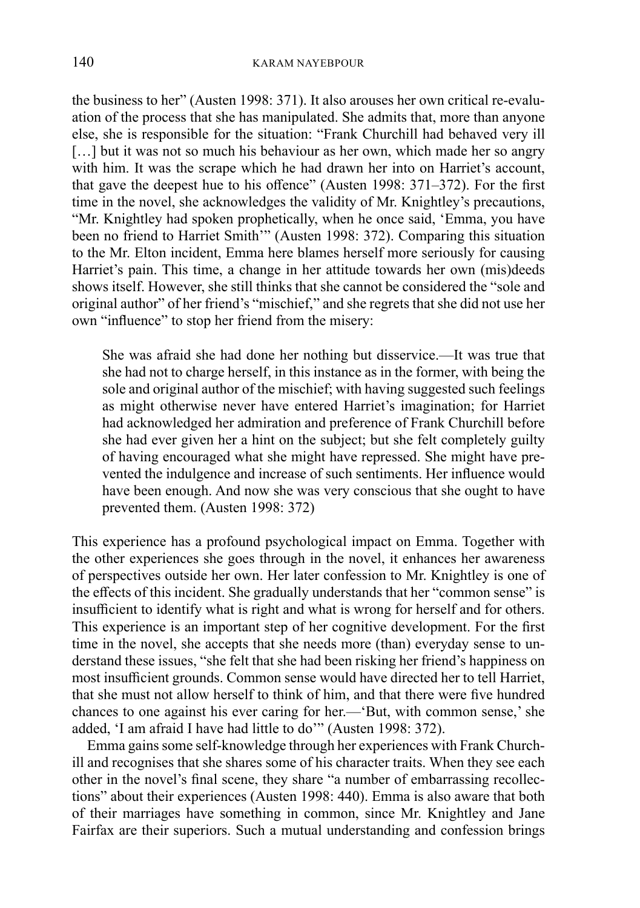the business to her" (Austen 1998: 371). It also arouses her own critical re-evaluation of the process that she has manipulated. She admits that, more than anyone else, she is responsible for the situation: "Frank Churchill had behaved very ill [...] but it was not so much his behaviour as her own, which made her so angry with him. It was the scrape which he had drawn her into on Harriet's account, that gave the deepest hue to his offence" (Austen 1998: 371–372). For the first time in the novel, she acknowledges the validity of Mr. Knightley's precautions, "Mr. Knightley had spoken prophetically, when he once said, 'Emma, you have been no friend to Harriet Smith'" (Austen 1998: 372). Comparing this situation to the Mr. Elton incident, Emma here blames herself more seriously for causing Harriet's pain. This time, a change in her attitude towards her own (mis)deeds shows itself. However, she still thinks that she cannot be considered the "sole and original author" of her friend's "mischief," and she regrets that she did not use her own "influence" to stop her friend from the misery:

She was afraid she had done her nothing but disservice.—It was true that she had not to charge herself, in this instance as in the former, with being the sole and original author of the mischief; with having suggested such feelings as might otherwise never have entered Harriet's imagination; for Harriet had acknowledged her admiration and preference of Frank Churchill before she had ever given her a hint on the subject; but she felt completely guilty of having encouraged what she might have repressed. She might have prevented the indulgence and increase of such sentiments. Her influence would have been enough. And now she was very conscious that she ought to have prevented them. (Austen 1998: 372)

This experience has a profound psychological impact on Emma. Together with the other experiences she goes through in the novel, it enhances her awareness of perspectives outside her own. Her later confession to Mr. Knightley is one of the effects of this incident. She gradually understands that her "common sense" is insufficient to identify what is right and what is wrong for herself and for others. This experience is an important step of her cognitive development. For the first time in the novel, she accepts that she needs more (than) everyday sense to understand these issues, "she felt that she had been risking her friend's happiness on most insufficient grounds. Common sense would have directed her to tell Harriet, that she must not allow herself to think of him, and that there were five hundred chances to one against his ever caring for her.—'But, with common sense,' she added, 'I am afraid I have had little to do'" (Austen 1998: 372).

Emma gains some self-knowledge through her experiences with Frank Churchill and recognises that she shares some of his character traits. When they see each other in the novel's final scene, they share "a number of embarrassing recollections" about their experiences (Austen 1998: 440). Emma is also aware that both of their marriages have something in common, since Mr. Knightley and Jane Fairfax are their superiors. Such a mutual understanding and confession brings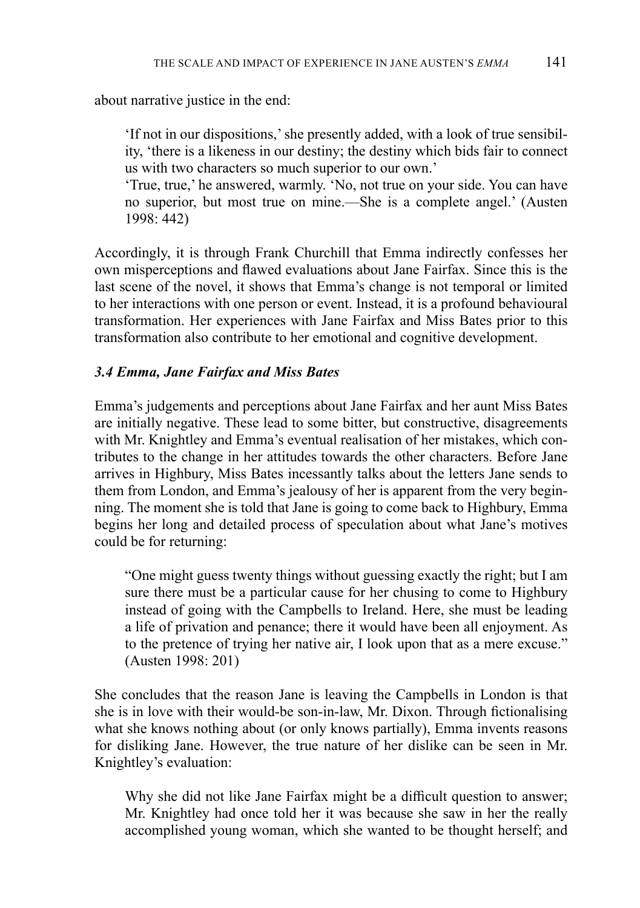about narrative justice in the end:

'If not in our dispositions,' she presently added, with a look of true sensibility, 'there is a likeness in our destiny; the destiny which bids fair to connect us with two characters so much superior to our own.'

'True, true,' he answered, warmly. 'No, not true on your side. You can have no superior, but most true on mine.—She is a complete angel.' (Austen 1998: 442)

Accordingly, it is through Frank Churchill that Emma indirectly confesses her own misperceptions and flawed evaluations about Jane Fairfax. Since this is the last scene of the novel, it shows that Emma's change is not temporal or limited to her interactions with one person or event. Instead, it is a profound behavioural transformation. Her experiences with Jane Fairfax and Miss Bates prior to this transformation also contribute to her emotional and cognitive development.

## *3.4 Emma, Jane Fairfax and Miss Bates*

Emma's judgements and perceptions about Jane Fairfax and her aunt Miss Bates are initially negative. These lead to some bitter, but constructive, disagreements with Mr. Knightley and Emma's eventual realisation of her mistakes, which contributes to the change in her attitudes towards the other characters. Before Jane arrives in Highbury, Miss Bates incessantly talks about the letters Jane sends to them from London, and Emma's jealousy of her is apparent from the very beginning. The moment she is told that Jane is going to come back to Highbury, Emma begins her long and detailed process of speculation about what Jane's motives could be for returning:

"One might guess twenty things without guessing exactly the right; but I am sure there must be a particular cause for her chusing to come to Highbury instead of going with the Campbells to Ireland. Here, she must be leading a life of privation and penance; there it would have been all enjoyment. As to the pretence of trying her native air, I look upon that as a mere excuse." (Austen 1998: 201)

She concludes that the reason Jane is leaving the Campbells in London is that she is in love with their would-be son-in-law, Mr. Dixon. Through fictionalising what she knows nothing about (or only knows partially), Emma invents reasons for disliking Jane. However, the true nature of her dislike can be seen in Mr. Knightley's evaluation:

Why she did not like Jane Fairfax might be a difficult question to answer; Mr. Knightley had once told her it was because she saw in her the really accomplished young woman, which she wanted to be thought herself; and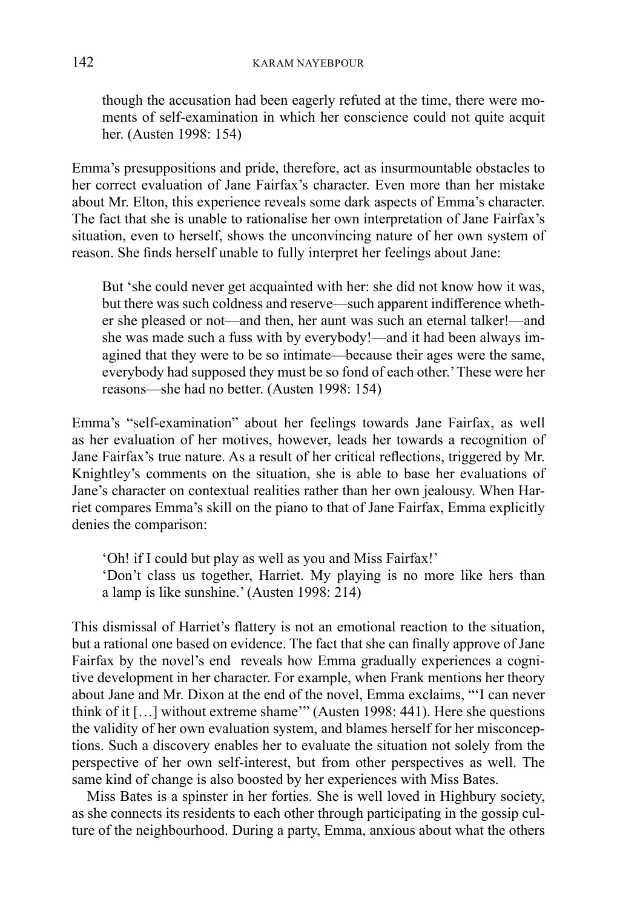though the accusation had been eagerly refuted at the time, there were moments of self-examination in which her conscience could not quite acquit her. (Austen 1998: 154)

Emma's presuppositions and pride, therefore, act as insurmountable obstacles to her correct evaluation of Jane Fairfax's character. Even more than her mistake about Mr. Elton, this experience reveals some dark aspects of Emma's character. The fact that she is unable to rationalise her own interpretation of Jane Fairfax's situation, even to herself, shows the unconvincing nature of her own system of reason. She finds herself unable to fully interpret her feelings about Jane:

But 'she could never get acquainted with her: she did not know how it was, but there was such coldness and reserve—such apparent indifference whether she pleased or not—and then, her aunt was such an eternal talker!—and she was made such a fuss with by everybody!—and it had been always imagined that they were to be so intimate—because their ages were the same, everybody had supposed they must be so fond of each other.' These were her reasons—she had no better. (Austen 1998: 154)

Emma's "self-examination" about her feelings towards Jane Fairfax, as well as her evaluation of her motives, however, leads her towards a recognition of Jane Fairfax's true nature. As a result of her critical reflections, triggered by Mr. Knightley's comments on the situation, she is able to base her evaluations of Jane's character on contextual realities rather than her own jealousy. When Harriet compares Emma's skill on the piano to that of Jane Fairfax, Emma explicitly denies the comparison:

'Oh! if I could but play as well as you and Miss Fairfax!' 'Don't class us together, Harriet. My playing is no more like hers than a lamp is like sunshine.' (Austen 1998: 214)

This dismissal of Harriet's flattery is not an emotional reaction to the situation, but a rational one based on evidence. The fact that she can finally approve of Jane Fairfax by the novel's end reveals how Emma gradually experiences a cognitive development in her character. For example, when Frank mentions her theory about Jane and Mr. Dixon at the end of the novel, Emma exclaims, "'I can never think of it […] without extreme shame'" (Austen 1998: 441). Here she questions the validity of her own evaluation system, and blames herself for her misconceptions. Such a discovery enables her to evaluate the situation not solely from the perspective of her own self-interest, but from other perspectives as well. The same kind of change is also boosted by her experiences with Miss Bates.

Miss Bates is a spinster in her forties. She is well loved in Highbury society, as she connects its residents to each other through participating in the gossip culture of the neighbourhood. During a party, Emma, anxious about what the others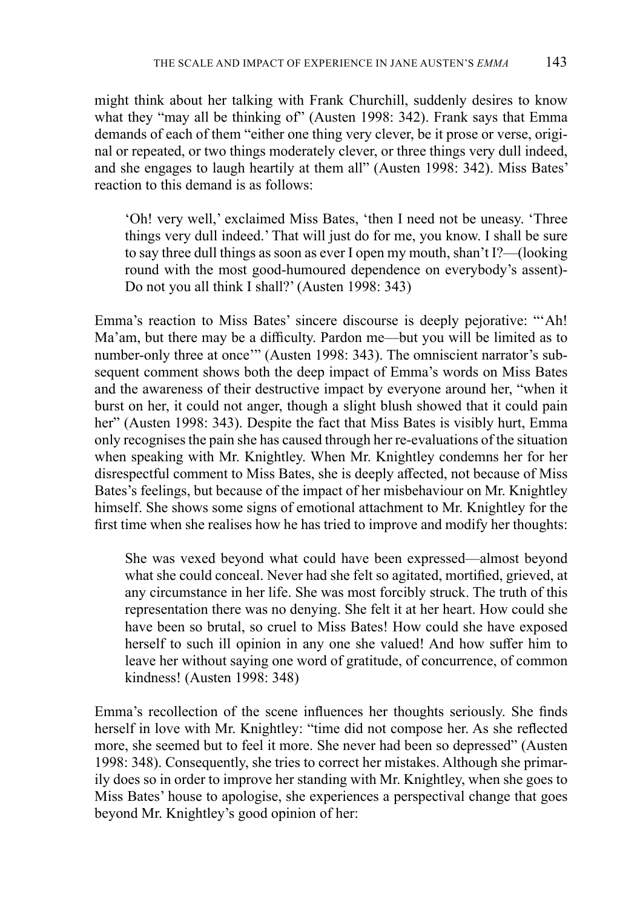might think about her talking with Frank Churchill, suddenly desires to know what they "may all be thinking of" (Austen 1998: 342). Frank says that Emma demands of each of them "either one thing very clever, be it prose or verse, original or repeated, or two things moderately clever, or three things very dull indeed, and she engages to laugh heartily at them all" (Austen 1998: 342). Miss Bates' reaction to this demand is as follows:

'Oh! very well,' exclaimed Miss Bates, 'then I need not be uneasy. 'Three things very dull indeed.' That will just do for me, you know. I shall be sure to say three dull things as soon as ever I open my mouth, shan't I?—(looking round with the most good-humoured dependence on everybody's assent)- Do not you all think I shall?' (Austen 1998: 343)

Emma's reaction to Miss Bates' sincere discourse is deeply pejorative: "'Ah! Ma'am, but there may be a difficulty. Pardon me—but you will be limited as to number-only three at once'" (Austen 1998: 343). The omniscient narrator's subsequent comment shows both the deep impact of Emma's words on Miss Bates and the awareness of their destructive impact by everyone around her, "when it burst on her, it could not anger, though a slight blush showed that it could pain her" (Austen 1998: 343). Despite the fact that Miss Bates is visibly hurt, Emma only recognises the pain she has caused through her re-evaluations of the situation when speaking with Mr. Knightley. When Mr. Knightley condemns her for her disrespectful comment to Miss Bates, she is deeply affected, not because of Miss Bates's feelings, but because of the impact of her misbehaviour on Mr. Knightley himself. She shows some signs of emotional attachment to Mr. Knightley for the first time when she realises how he has tried to improve and modify her thoughts:

She was vexed beyond what could have been expressed—almost beyond what she could conceal. Never had she felt so agitated, mortified, grieved, at any circumstance in her life. She was most forcibly struck. The truth of this representation there was no denying. She felt it at her heart. How could she have been so brutal, so cruel to Miss Bates! How could she have exposed herself to such ill opinion in any one she valued! And how suffer him to leave her without saying one word of gratitude, of concurrence, of common kindness! (Austen 1998: 348)

Emma's recollection of the scene influences her thoughts seriously. She finds herself in love with Mr. Knightley: "time did not compose her. As she reflected more, she seemed but to feel it more. She never had been so depressed" (Austen 1998: 348). Consequently, she tries to correct her mistakes. Although she primarily does so in order to improve her standing with Mr. Knightley, when she goes to Miss Bates' house to apologise, she experiences a perspectival change that goes beyond Mr. Knightley's good opinion of her: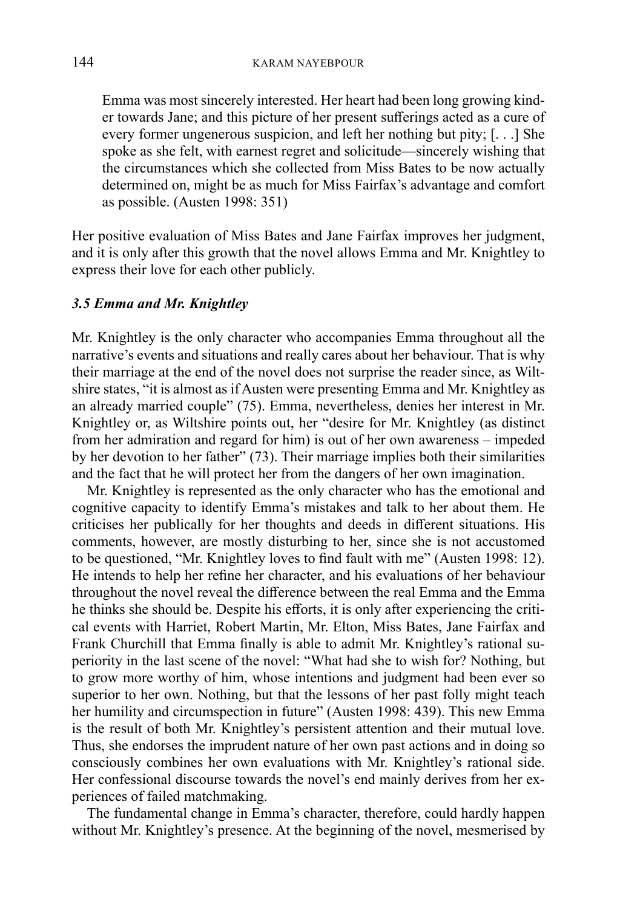Emma was most sincerely interested. Her heart had been long growing kinder towards Jane; and this picture of her present sufferings acted as a cure of every former ungenerous suspicion, and left her nothing but pity; [. . .] She spoke as she felt, with earnest regret and solicitude—sincerely wishing that the circumstances which she collected from Miss Bates to be now actually determined on, might be as much for Miss Fairfax's advantage and comfort as possible. (Austen 1998: 351)

Her positive evaluation of Miss Bates and Jane Fairfax improves her judgment, and it is only after this growth that the novel allows Emma and Mr. Knightley to express their love for each other publicly.

## *3.5 Emma and Mr. Knightley*

Mr. Knightley is the only character who accompanies Emma throughout all the narrative's events and situations and really cares about her behaviour. That is why their marriage at the end of the novel does not surprise the reader since, as Wiltshire states, "it is almost as if Austen were presenting Emma and Mr. Knightley as an already married couple" (75). Emma, nevertheless, denies her interest in Mr. Knightley or, as Wiltshire points out, her "desire for Mr. Knightley (as distinct from her admiration and regard for him) is out of her own awareness – impeded by her devotion to her father" (73). Their marriage implies both their similarities and the fact that he will protect her from the dangers of her own imagination.

Mr. Knightley is represented as the only character who has the emotional and cognitive capacity to identify Emma's mistakes and talk to her about them. He criticises her publically for her thoughts and deeds in different situations. His comments, however, are mostly disturbing to her, since she is not accustomed to be questioned, "Mr. Knightley loves to find fault with me" (Austen 1998: 12). He intends to help her refine her character, and his evaluations of her behaviour throughout the novel reveal the difference between the real Emma and the Emma he thinks she should be. Despite his efforts, it is only after experiencing the critical events with Harriet, Robert Martin, Mr. Elton, Miss Bates, Jane Fairfax and Frank Churchill that Emma finally is able to admit Mr. Knightley's rational superiority in the last scene of the novel: "What had she to wish for? Nothing, but to grow more worthy of him, whose intentions and judgment had been ever so superior to her own. Nothing, but that the lessons of her past folly might teach her humility and circumspection in future" (Austen 1998: 439). This new Emma is the result of both Mr. Knightley's persistent attention and their mutual love. Thus, she endorses the imprudent nature of her own past actions and in doing so consciously combines her own evaluations with Mr. Knightley's rational side. Her confessional discourse towards the novel's end mainly derives from her experiences of failed matchmaking.

The fundamental change in Emma's character, therefore, could hardly happen without Mr. Knightley's presence. At the beginning of the novel, mesmerised by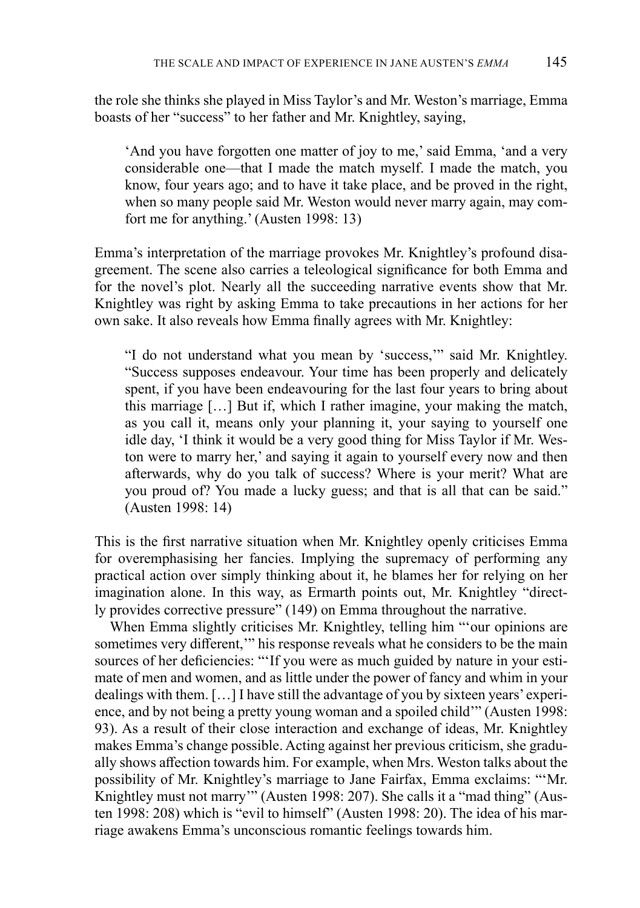the role she thinks she played in Miss Taylor's and Mr. Weston's marriage, Emma boasts of her "success" to her father and Mr. Knightley, saying,

'And you have forgotten one matter of joy to me,' said Emma, 'and a very considerable one—that I made the match myself. I made the match, you know, four years ago; and to have it take place, and be proved in the right, when so many people said Mr. Weston would never marry again, may comfort me for anything.' (Austen 1998: 13)

Emma's interpretation of the marriage provokes Mr. Knightley's profound disagreement. The scene also carries a teleological significance for both Emma and for the novel's plot. Nearly all the succeeding narrative events show that Mr. Knightley was right by asking Emma to take precautions in her actions for her own sake. It also reveals how Emma finally agrees with Mr. Knightley:

"I do not understand what you mean by 'success,'" said Mr. Knightley. "Success supposes endeavour. Your time has been properly and delicately spent, if you have been endeavouring for the last four years to bring about this marriage […] But if, which I rather imagine, your making the match, as you call it, means only your planning it, your saying to yourself one idle day, 'I think it would be a very good thing for Miss Taylor if Mr. Weston were to marry her,' and saying it again to yourself every now and then afterwards, why do you talk of success? Where is your merit? What are you proud of? You made a lucky guess; and that is all that can be said." (Austen 1998: 14)

This is the first narrative situation when Mr. Knightley openly criticises Emma for overemphasising her fancies. Implying the supremacy of performing any practical action over simply thinking about it, he blames her for relying on her imagination alone. In this way, as Ermarth points out, Mr. Knightley "directly provides corrective pressure" (149) on Emma throughout the narrative.

When Emma slightly criticises Mr. Knightley, telling him "'our opinions are sometimes very different," his response reveals what he considers to be the main sources of her deficiencies: "'If you were as much guided by nature in your estimate of men and women, and as little under the power of fancy and whim in your dealings with them. […] I have still the advantage of you by sixteen years' experience, and by not being a pretty young woman and a spoiled child'" (Austen 1998: 93). As a result of their close interaction and exchange of ideas, Mr. Knightley makes Emma's change possible. Acting against her previous criticism, she gradually shows affection towards him. For example, when Mrs. Weston talks about the possibility of Mr. Knightley's marriage to Jane Fairfax, Emma exclaims: "'Mr. Knightley must not marry'" (Austen 1998: 207). She calls it a "mad thing" (Austen 1998: 208) which is "evil to himself" (Austen 1998: 20). The idea of his marriage awakens Emma's unconscious romantic feelings towards him.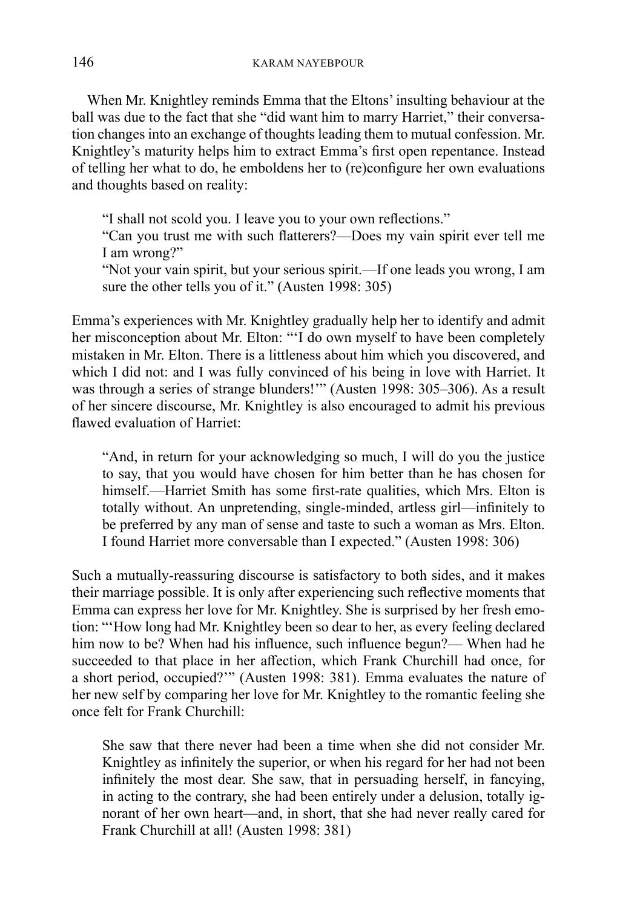When Mr. Knightley reminds Emma that the Eltons' insulting behaviour at the ball was due to the fact that she "did want him to marry Harriet," their conversation changes into an exchange of thoughts leading them to mutual confession. Mr. Knightley's maturity helps him to extract Emma's first open repentance. Instead of telling her what to do, he emboldens her to (re)configure her own evaluations and thoughts based on reality:

"I shall not scold you. I leave you to your own reflections."

"Can you trust me with such flatterers?—Does my vain spirit ever tell me I am wrong?"

"Not your vain spirit, but your serious spirit.—If one leads you wrong, I am sure the other tells you of it." (Austen 1998: 305)

Emma's experiences with Mr. Knightley gradually help her to identify and admit her misconception about Mr. Elton: "'I do own myself to have been completely mistaken in Mr. Elton. There is a littleness about him which you discovered, and which I did not: and I was fully convinced of his being in love with Harriet. It was through a series of strange blunders!'" (Austen 1998: 305–306). As a result of her sincere discourse, Mr. Knightley is also encouraged to admit his previous flawed evaluation of Harriet:

"And, in return for your acknowledging so much, I will do you the justice to say, that you would have chosen for him better than he has chosen for himself.—Harriet Smith has some first-rate qualities, which Mrs. Elton is totally without. An unpretending, single-minded, artless girl—infinitely to be preferred by any man of sense and taste to such a woman as Mrs. Elton. I found Harriet more conversable than I expected." (Austen 1998: 306)

Such a mutually-reassuring discourse is satisfactory to both sides, and it makes their marriage possible. It is only after experiencing such reflective moments that Emma can express her love for Mr. Knightley. She is surprised by her fresh emotion: "'How long had Mr. Knightley been so dear to her, as every feeling declared him now to be? When had his influence, such influence begun?— When had he succeeded to that place in her affection, which Frank Churchill had once, for a short period, occupied?'" (Austen 1998: 381). Emma evaluates the nature of her new self by comparing her love for Mr. Knightley to the romantic feeling she once felt for Frank Churchill:

She saw that there never had been a time when she did not consider Mr. Knightley as infinitely the superior, or when his regard for her had not been infinitely the most dear. She saw, that in persuading herself, in fancying, in acting to the contrary, she had been entirely under a delusion, totally ignorant of her own heart—and, in short, that she had never really cared for Frank Churchill at all! (Austen 1998: 381)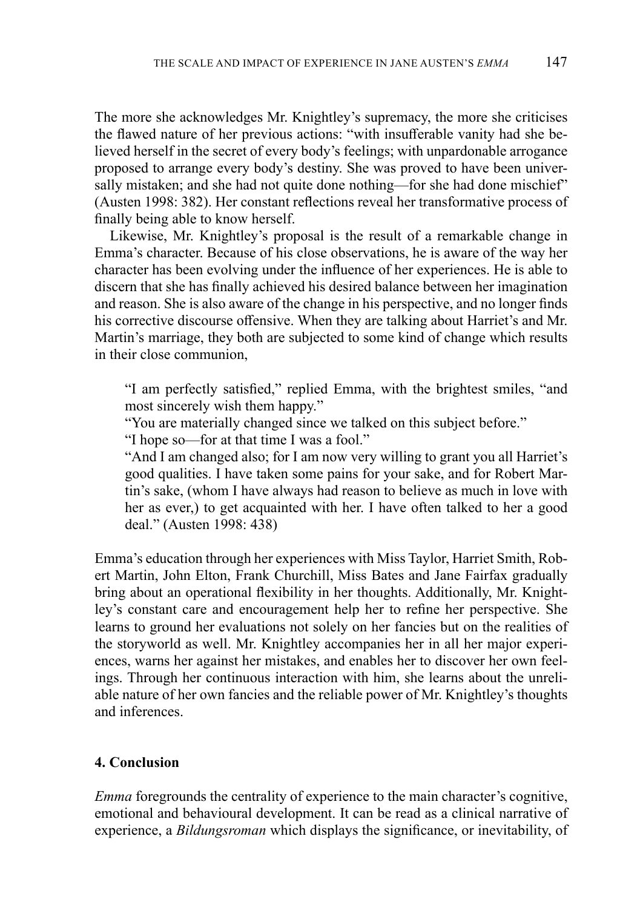The more she acknowledges Mr. Knightley's supremacy, the more she criticises the flawed nature of her previous actions: "with insufferable vanity had she believed herself in the secret of every body's feelings; with unpardonable arrogance proposed to arrange every body's destiny. She was proved to have been universally mistaken; and she had not quite done nothing—for she had done mischief" (Austen 1998: 382). Her constant reflections reveal her transformative process of finally being able to know herself.

Likewise, Mr. Knightley's proposal is the result of a remarkable change in Emma's character. Because of his close observations, he is aware of the way her character has been evolving under the influence of her experiences. He is able to discern that she has finally achieved his desired balance between her imagination and reason. She is also aware of the change in his perspective, and no longer finds his corrective discourse offensive. When they are talking about Harriet's and Mr. Martin's marriage, they both are subjected to some kind of change which results in their close communion,

"I am perfectly satisfied," replied Emma, with the brightest smiles, "and most sincerely wish them happy."

"You are materially changed since we talked on this subject before."

"I hope so—for at that time I was a fool."

"And I am changed also; for I am now very willing to grant you all Harriet's good qualities. I have taken some pains for your sake, and for Robert Martin's sake, (whom I have always had reason to believe as much in love with her as ever,) to get acquainted with her. I have often talked to her a good deal." (Austen 1998: 438)

Emma's education through her experiences with Miss Taylor, Harriet Smith, Robert Martin, John Elton, Frank Churchill, Miss Bates and Jane Fairfax gradually bring about an operational flexibility in her thoughts. Additionally, Mr. Knightley's constant care and encouragement help her to refine her perspective. She learns to ground her evaluations not solely on her fancies but on the realities of the storyworld as well. Mr. Knightley accompanies her in all her major experiences, warns her against her mistakes, and enables her to discover her own feelings. Through her continuous interaction with him, she learns about the unreliable nature of her own fancies and the reliable power of Mr. Knightley's thoughts and inferences.

### **4. Conclusion**

*Emma* foregrounds the centrality of experience to the main character's cognitive, emotional and behavioural development. It can be read as a clinical narrative of experience, a *Bildungsroman* which displays the significance, or inevitability, of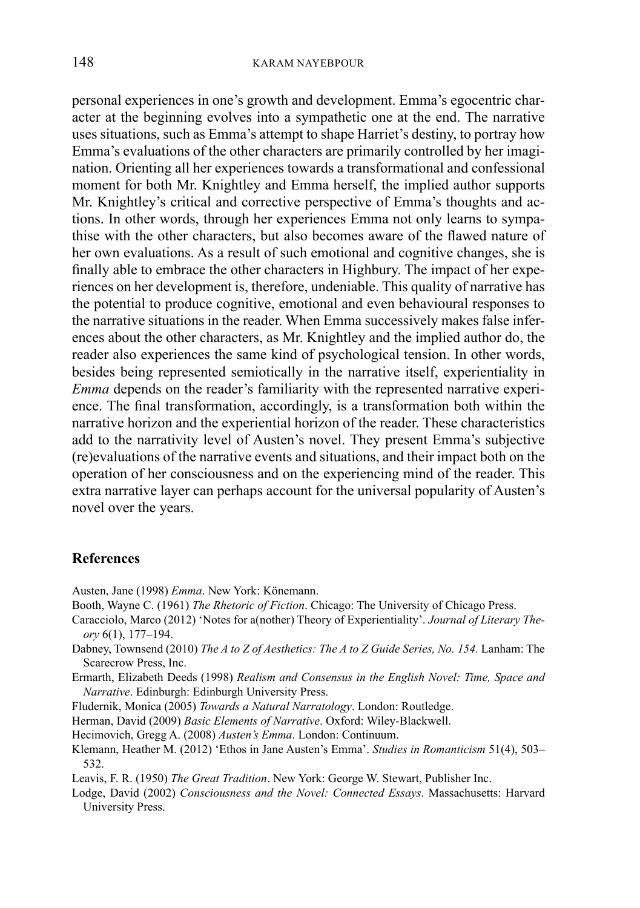personal experiences in one's growth and development. Emma's egocentric character at the beginning evolves into a sympathetic one at the end. The narrative uses situations, such as Emma's attempt to shape Harriet's destiny, to portray how Emma's evaluations of the other characters are primarily controlled by her imagination. Orienting all her experiences towards a transformational and confessional moment for both Mr. Knightley and Emma herself, the implied author supports Mr. Knightley's critical and corrective perspective of Emma's thoughts and actions. In other words, through her experiences Emma not only learns to sympathise with the other characters, but also becomes aware of the flawed nature of her own evaluations. As a result of such emotional and cognitive changes, she is finally able to embrace the other characters in Highbury. The impact of her experiences on her development is, therefore, undeniable. This quality of narrative has the potential to produce cognitive, emotional and even behavioural responses to the narrative situations in the reader. When Emma successively makes false inferences about the other characters, as Mr. Knightley and the implied author do, the reader also experiences the same kind of psychological tension. In other words, besides being represented semiotically in the narrative itself, experientiality in *Emma* depends on the reader's familiarity with the represented narrative experience. The final transformation, accordingly, is a transformation both within the narrative horizon and the experiential horizon of the reader. These characteristics add to the narrativity level of Austen's novel. They present Emma's subjective (re)evaluations of the narrative events and situations, and their impact both on the operation of her consciousness and on the experiencing mind of the reader. This extra narrative layer can perhaps account for the universal popularity of Austen's novel over the years.

#### **References**

- Austen, Jane (1998) *Emma*. New York: Könemann.
- Booth, Wayne C. (1961) *The Rhetoric of Fiction*. Chicago: The University of Chicago Press.
- Caracciolo, Marco (2012) 'Notes for a(nother) Theory of Experientiality'. *Journal of Literary Theory* 6(1), 177–194.
- Dabney, Townsend (2010) *The A to Z of Aesthetics: The A to Z Guide Series, No. 154.* Lanham: The Scarecrow Press, Inc.
- Ermarth, Elizabeth Deeds (1998) *Realism and Consensus in the English Novel: Time, Space and Narrative*. Edinburgh: Edinburgh University Press.
- Fludernik, Monica (2005) *Towards a Natural Narratology*. London: Routledge.
- Herman, David (2009) *Basic Elements of Narrative*. Oxford: Wiley-Blackwell.
- Hecimovich, Gregg A. (2008) *Austen's Emma*. London: Continuum.
- Klemann, Heather M. (2012) 'Ethos in Jane Austen's Emma'. *Studies in Romanticism* 51(4), 503– 532.
- Leavis, F. R. (1950) *The Great Tradition*. New York: George W. Stewart, Publisher Inc.
- Lodge, David (2002) *Consciousness and the Novel: Connected Essays*. Massachusetts: Harvard University Press.